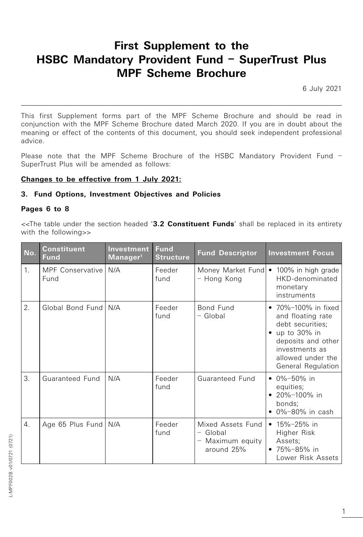# **First Supplement to the HSBC Mandatory Provident Fund – SuperTrust Plus MPF Scheme Brochure**

6 July 2021

This first Supplement forms part of the MPF Scheme Brochure and should be read in conjunction with the MPF Scheme Brochure dated March 2020. If you are in doubt about the meaning or effect of the contents of this document, you should seek independent professional advice.

Please note that the MPF Scheme Brochure of the HSBC Mandatory Provident Fund – SuperTrust Plus will be amended as follows:

## **Changes to be effective from 1 July 2021:**

## **3. Fund Options, Investment Objectives and Policies**

## **Pages 6 to 8**

<<The table under the section headed '**3.2 Constituent Funds**' shall be replaced in its entirety with the following>>

| No.              | <b>Constituent</b><br><b>Fund</b> | Investment<br>Manager <sup>1</sup> | <b>Fund</b><br><b>Structure</b> | <b>Fund Descriptor</b>                                          | <b>Investment Focus</b>                                                                                                                                         |  |
|------------------|-----------------------------------|------------------------------------|---------------------------------|-----------------------------------------------------------------|-----------------------------------------------------------------------------------------------------------------------------------------------------------------|--|
| 1.               | MPF Conservative   N/A<br>Fund    |                                    | Feeder<br>fund                  | - Hong Kong                                                     | Money Market Fund • 100% in high grade<br>HKD-denominated<br>monetary<br>instruments                                                                            |  |
| $\overline{2}$ . | Global Bond Fund N/A              |                                    | Feeder<br>fund                  | Bond Fund<br>$-$ Global                                         | • 70%-100% in fixed<br>and floating rate<br>debt securities;<br>up to 30% in<br>deposits and other<br>investments as<br>allowed under the<br>General Regulation |  |
| 3.               | Guaranteed Fund                   | N/A                                | Feeder<br>fund                  | Guaranteed Fund                                                 | $\bullet$ 0%-50% in<br>equities;<br>• 20%-100% in<br>bonds;<br>$\bullet$ 0%-80% in cash                                                                         |  |
| 4.               | Age 65 Plus Fund   N/A            |                                    | Feeder<br>fund                  | Mixed Assets Fund<br>$-$ Global<br>Maximum equity<br>around 25% | • $15\% - 25\%$ in<br>Higher Risk<br>Assets;<br>• $75\% - 85\%$ in<br>Lower Risk Assets                                                                         |  |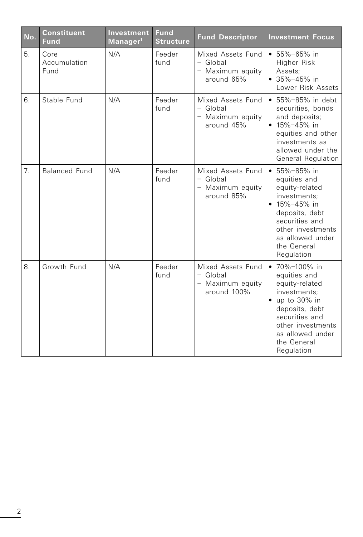| No. | <b>Constituent</b><br><b>Fund</b> | <b>Investment</b><br>Manager <sup>1</sup> | <b>Fund</b><br><b>Structure</b> | <b>Fund Descriptor</b>                                             | <b>Investment Focus</b>                                                                                                                                                                              |
|-----|-----------------------------------|-------------------------------------------|---------------------------------|--------------------------------------------------------------------|------------------------------------------------------------------------------------------------------------------------------------------------------------------------------------------------------|
| 5.  | Core<br>Accumulation<br>Fund      | N/A                                       | Feeder<br>fund                  | Mixed Assets Fund<br>$-$ Global<br>- Maximum equity<br>around 65%  | $• 55\% - 65\%$ in<br>Higher Risk<br>Assets;<br>$• 35% - 45%$ in<br>Lower Risk Assets                                                                                                                |
| 6.  | Stable Fund                       | N/A                                       | Feeder<br>fund                  | Mixed Assets Fund<br>- Global<br>- Maximum equity<br>around 45%    | • 55%-85% in debt<br>securities, bonds<br>and deposits;<br>$• 15% - 45%$ in<br>equities and other<br>investments as<br>allowed under the<br>General Regulation                                       |
| 7.  | <b>Balanced Fund</b>              | N/A                                       | Feeder<br>fund                  | Mixed Assets Fund<br>- Global<br>- Maximum equity<br>around 85%    | $\bullet$ 55%-85% in<br>equities and<br>equity-related<br>investments:<br>$• 15% - 45%$ in<br>deposits, debt<br>securities and<br>other investments<br>as allowed under<br>the General<br>Regulation |
| 8.  | Growth Fund                       | N/A                                       | Feeder<br>fund                  | Mixed Assets Fund<br>$-$ Global<br>- Maximum equity<br>around 100% | • 70%-100% in<br>equities and<br>equity-related<br>investments;<br>$\bullet$ up to 30% in<br>deposits, debt<br>securities and<br>other investments<br>as allowed under<br>the General<br>Regulation  |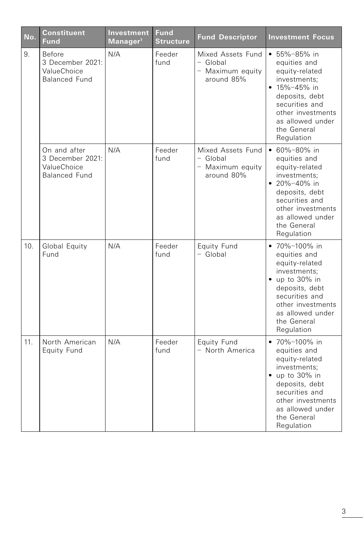| No. | <b>Constituent</b><br><b>Fund</b>                                       | Investment<br>Manager <sup>1</sup> | <b>Fund</b><br><b>Structure</b> | <b>Fund Descriptor</b>                                            | <b>Investment Focus</b>                                                                                                                                                                              |
|-----|-------------------------------------------------------------------------|------------------------------------|---------------------------------|-------------------------------------------------------------------|------------------------------------------------------------------------------------------------------------------------------------------------------------------------------------------------------|
| 9.  | Before<br>3 December 2021:<br>ValueChoice<br><b>Balanced Fund</b>       | N/A                                | Feeder<br>fund                  | Mixed Assets Fund<br>$-$ Global<br>- Maximum equity<br>around 85% | $• 55% - 85% in$<br>equities and<br>equity-related<br>investments;<br>$• 15% - 45%$ in<br>deposits, debt<br>securities and<br>other investments<br>as allowed under<br>the General<br>Regulation     |
|     | On and after<br>3 December 2021:<br>ValueChoice<br><b>Balanced Fund</b> | N/A                                | Feeder<br>fund                  | Mixed Assets Fund<br>$-$ Global<br>- Maximum equity<br>around 80% | $\cdot$ 60%-80% in<br>equities and<br>equity-related<br>investments:<br>• $20\% - 40\%$ in<br>deposits, debt<br>securities and<br>other investments<br>as allowed under<br>the General<br>Regulation |
| 10. | Global Equity<br>Fund                                                   | N/A                                | Feeder<br>fund                  | Equity Fund<br>$-$ Global                                         | • 70%-100% in<br>equities and<br>equity-related<br>investments;<br>$\bullet$ up to 30% in<br>deposits, debt<br>securities and<br>other investments<br>as allowed under<br>the General<br>Regulation  |
| 11. | North American<br>Equity Fund                                           | N/A                                | Feeder<br>fund                  | Equity Fund<br>- North America                                    | • 70%-100% in<br>equities and<br>equity-related<br>investments;<br>$\bullet$ up to 30% in<br>deposits, debt<br>securities and<br>other investments<br>as allowed under<br>the General<br>Regulation  |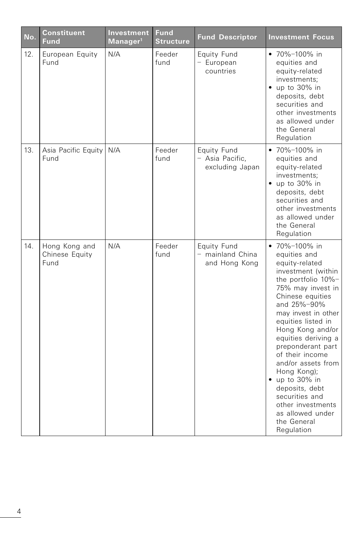| No. | <b>Constituent</b><br><b>Fund</b>       | Investment<br>Manager <sup>1</sup> | <b>Fund</b><br><b>Structure</b> | <b>Fund Descriptor</b>                            | <b>Investment Focus</b>                                                                                                                                                                                                                                                                                                                                                                                                                              |
|-----|-----------------------------------------|------------------------------------|---------------------------------|---------------------------------------------------|------------------------------------------------------------------------------------------------------------------------------------------------------------------------------------------------------------------------------------------------------------------------------------------------------------------------------------------------------------------------------------------------------------------------------------------------------|
| 12. | European Equity<br>Fund                 | N/A                                | Feeder<br>fund                  | Equity Fund<br>- European<br>countries            | • 70%-100% in<br>equities and<br>equity-related<br>investments;<br>$\bullet$ up to 30% in<br>deposits, debt<br>securities and<br>other investments<br>as allowed under<br>the General<br>Regulation                                                                                                                                                                                                                                                  |
| 13. | Asia Pacific Equity<br>Fund             | N/A                                | Feeder<br>fund                  | Equity Fund<br>- Asia Pacific,<br>excluding Japan | • 70%-100% in<br>equities and<br>equity-related<br>investments;<br>$\bullet$ up to 30% in<br>deposits, debt<br>securities and<br>other investments<br>as allowed under<br>the General<br>Regulation                                                                                                                                                                                                                                                  |
| 14. | Hong Kong and<br>Chinese Equity<br>Fund | N/A                                | Feeder<br>fund                  | Equity Fund<br>mainland China<br>and Hong Kong    | • 70%-100% in<br>equities and<br>equity-related<br>investment (within<br>the portfolio 10%-<br>75% may invest in<br>Chinese equities<br>and 25%-90%<br>may invest in other<br>equities listed in<br>Hong Kong and/or<br>equities deriving a<br>preponderant part<br>of their income<br>and/or assets from<br>Hong Kong);<br>• up to 30% in<br>deposits, debt<br>securities and<br>other investments<br>as allowed under<br>the General<br>Regulation |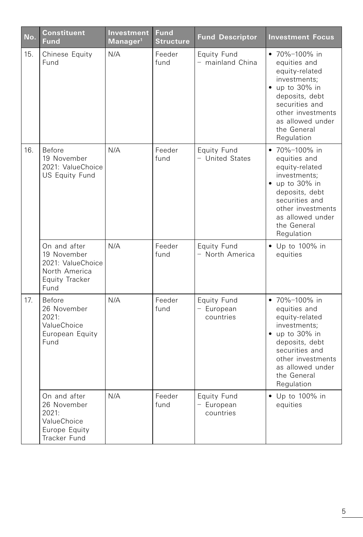| No. | Constituent<br><b>Fund</b>                                                                  | Investment<br>Manager <sup>1</sup> | <b>Fund</b><br><b>Structure</b> | <b>Fund Descriptor</b>                 | <b>Investment Focus</b>                                                                                                                                                                             |
|-----|---------------------------------------------------------------------------------------------|------------------------------------|---------------------------------|----------------------------------------|-----------------------------------------------------------------------------------------------------------------------------------------------------------------------------------------------------|
| 15. | Chinese Equity<br>Fund                                                                      | N/A                                | Feeder<br>fund                  | Equity Fund<br>- mainland China        | • 70%-100% in<br>equities and<br>equity-related<br>investments;<br>$\bullet$ up to 30% in<br>deposits, debt<br>securities and<br>other investments<br>as allowed under<br>the General<br>Regulation |
| 16. | Before<br>19 November<br>2021: ValueChoice<br>US Equity Fund                                | N/A                                | Feeder<br>fund                  | Equity Fund<br>- United States         | • 70%-100% in<br>equities and<br>equity-related<br>investments:<br>$\bullet$ up to 30% in<br>deposits, debt<br>securities and<br>other investments<br>as allowed under<br>the General<br>Regulation |
|     | On and after<br>19 November<br>2021: ValueChoice<br>North America<br>Equity Tracker<br>Fund | N/A                                | Feeder<br>fund                  | Equity Fund<br>- North America         | • Up to 100% in<br>equities                                                                                                                                                                         |
| 17. | <b>Before</b><br>26 November<br>2021:<br>ValueChoice<br>European Equity<br>Fund             | N/A                                | Feeder<br>fund                  | Equity Fund<br>- European<br>countries | • 70%-100% in<br>equities and<br>equity-related<br>investments:<br>$\bullet$ up to 30% in<br>deposits, debt<br>securities and<br>other investments<br>as allowed under<br>the General<br>Regulation |
|     | On and after<br>26 November<br>2021:<br>ValueChoice<br>Europe Equity<br>Tracker Fund        | N/A                                | Feeder<br>fund                  | Equity Fund<br>- European<br>countries | • Up to 100% in<br>equities                                                                                                                                                                         |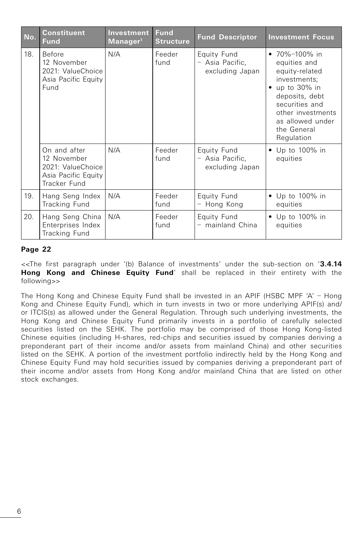| No. | <b>Constituent</b><br><b>Fund</b>                                                       | Investment<br>Manager <sup>1</sup> | <b>Fund</b><br><b>Structure</b> | <b>Fund Descriptor</b>                            | <b>Investment Focus</b>                                                                                                                                                                             |  |
|-----|-----------------------------------------------------------------------------------------|------------------------------------|---------------------------------|---------------------------------------------------|-----------------------------------------------------------------------------------------------------------------------------------------------------------------------------------------------------|--|
| 18. | Before<br>12 November<br>2021: ValueChoice<br>Asia Pacific Equity<br>Fund               | N/A                                | Feeder<br>fund                  | Equity Fund<br>- Asia Pacific,<br>excluding Japan | • 70%-100% in<br>equities and<br>equity-related<br>investments;<br>$\bullet$ up to 30% in<br>deposits, debt<br>securities and<br>other investments<br>as allowed under<br>the General<br>Regulation |  |
|     | On and after<br>12 November<br>2021: ValueChoice<br>Asia Pacific Equity<br>Tracker Fund | N/A                                | Feeder<br>fund                  | Equity Fund<br>- Asia Pacific,<br>excluding Japan | • Up to 100% in<br>equities                                                                                                                                                                         |  |
| 19. | Hang Seng Index<br>Tracking Fund                                                        | N/A                                | Feeder<br>fund                  | Equity Fund<br>- Hong Kong                        | $\bullet$ Up to 100% in<br>equities                                                                                                                                                                 |  |
| 20. | Hang Seng China<br>Enterprises Index<br>Tracking Fund                                   | N/A                                | Feeder<br>fund                  | Equity Fund<br>- mainland China                   | • Up to 100% in<br>equities                                                                                                                                                                         |  |

<<The first paragraph under '(b) Balance of investments' under the sub-section on '**3.4.14 Hong Kong and Chinese Equity Fund**' shall be replaced in their entirety with the following>>

The Hong Kong and Chinese Equity Fund shall be invested in an APIF (HSBC MPF 'A' – Hong Kong and Chinese Equity Fund), which in turn invests in two or more underlying APIF(s) and/ or ITCIS(s) as allowed under the General Regulation. Through such underlying investments, the Hong Kong and Chinese Equity Fund primarily invests in a portfolio of carefully selected securities listed on the SEHK. The portfolio may be comprised of those Hong Kong-listed Chinese equities (including H-shares, red-chips and securities issued by companies deriving a preponderant part of their income and/or assets from mainland China) and other securities listed on the SEHK. A portion of the investment portfolio indirectly held by the Hong Kong and Chinese Equity Fund may hold securities issued by companies deriving a preponderant part of their income and/or assets from Hong Kong and/or mainland China that are listed on other stock exchanges.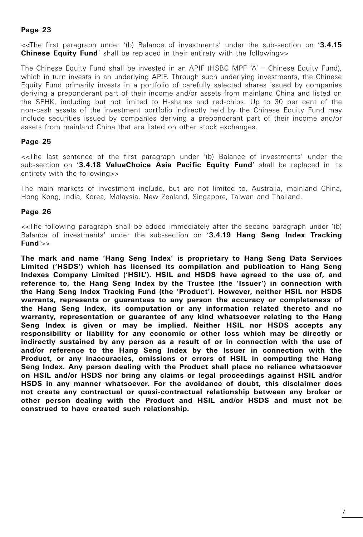<<The first paragraph under '(b) Balance of investments' under the sub-section on '**3.4.15 Chinese Equity Fund**' shall be replaced in their entirety with the following>>

The Chinese Equity Fund shall be invested in an APIF (HSBC MPF 'A' – Chinese Equity Fund), which in turn invests in an underlying APIF. Through such underlying investments, the Chinese Equity Fund primarily invests in a portfolio of carefully selected shares issued by companies deriving a preponderant part of their income and/or assets from mainland China and listed on the SEHK, including but not limited to H-shares and red-chips. Up to 30 per cent of the non-cash assets of the investment portfolio indirectly held by the Chinese Equity Fund may include securities issued by companies deriving a preponderant part of their income and/or assets from mainland China that are listed on other stock exchanges.

## **Page 25**

<<The last sentence of the first paragraph under '(b) Balance of investments' under the sub-section on '**3.4.18 ValueChoice Asia Pacific Equity Fund**' shall be replaced in its entirety with the following>>

The main markets of investment include, but are not limited to, Australia, mainland China, Hong Kong, India, Korea, Malaysia, New Zealand, Singapore, Taiwan and Thailand.

## **Page 26**

<<The following paragraph shall be added immediately after the second paragraph under '(b) Balance of investments' under the sub-section on '**3.4.19 Hang Seng Index Tracking Fund**'>>

**The mark and name 'Hang Seng Index' is proprietary to Hang Seng Data Services Limited ('HSDS') which has licensed its compilation and publication to Hang Seng Indexes Company Limited ('HSIL'). HSIL and HSDS have agreed to the use of, and reference to, the Hang Seng Index by the Trustee (the 'Issuer') in connection with the Hang Seng Index Tracking Fund (the 'Product'). However, neither HSIL nor HSDS warrants, represents or guarantees to any person the accuracy or completeness of the Hang Seng Index, its computation or any information related thereto and no warranty, representation or guarantee of any kind whatsoever relating to the Hang Seng Index is given or may be implied. Neither HSIL nor HSDS accepts any responsibility or liability for any economic or other loss which may be directly or indirectly sustained by any person as a result of or in connection with the use of and/or reference to the Hang Seng Index by the Issuer in connection with the Product, or any inaccuracies, omissions or errors of HSIL in computing the Hang Seng Index. Any person dealing with the Product shall place no reliance whatsoever on HSIL and/or HSDS nor bring any claims or legal proceedings against HSIL and/or HSDS in any manner whatsoever. For the avoidance of doubt, this disclaimer does not create any contractual or quasi-contractual relationship between any broker or other person dealing with the Product and HSIL and/or HSDS and must not be construed to have created such relationship.**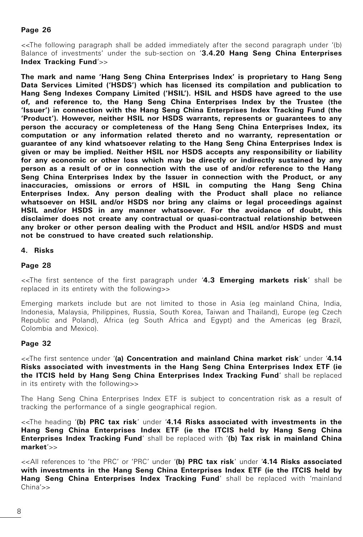<<The following paragraph shall be added immediately after the second paragraph under '(b) Balance of investments' under the sub-section on '**3.4.20 Hang Seng China Enterprises Index Tracking Fund**'>>

**The mark and name 'Hang Seng China Enterprises Index' is proprietary to Hang Seng Data Services Limited ('HSDS') which has licensed its compilation and publication to Hang Seng Indexes Company Limited ('HSIL'). HSIL and HSDS have agreed to the use of, and reference to, the Hang Seng China Enterprises Index by the Trustee (the 'Issuer') in connection with the Hang Seng China Enterprises Index Tracking Fund (the 'Product'). However, neither HSIL nor HSDS warrants, represents or guarantees to any person the accuracy or completeness of the Hang Seng China Enterprises Index, its computation or any information related thereto and no warranty, representation or guarantee of any kind whatsoever relating to the Hang Seng China Enterprises Index is given or may be implied. Neither HSIL nor HSDS accepts any responsibility or liability for any economic or other loss which may be directly or indirectly sustained by any person as a result of or in connection with the use of and/or reference to the Hang Seng China Enterprises Index by the Issuer in connection with the Product, or any inaccuracies, omissions or errors of HSIL in computing the Hang Seng China Enterprises Index. Any person dealing with the Product shall place no reliance whatsoever on HSIL and/or HSDS nor bring any claims or legal proceedings against HSIL and/or HSDS in any manner whatsoever. For the avoidance of doubt, this disclaimer does not create any contractual or quasi-contractual relationship between any broker or other person dealing with the Product and HSIL and/or HSDS and must not be construed to have created such relationship.**

#### **4. Risks**

#### **Page 28**

<<The first sentence of the first paragraph under '**4.3 Emerging markets risk**' shall be replaced in its entirety with the following>>

Emerging markets include but are not limited to those in Asia (eg mainland China, India, Indonesia, Malaysia, Philippines, Russia, South Korea, Taiwan and Thailand), Europe (eg Czech Republic and Poland), Africa (eg South Africa and Egypt) and the Americas (eg Brazil, Colombia and Mexico).

#### **Page 32**

<<The first sentence under '**(a) Concentration and mainland China market risk**' under '**4.14 Risks associated with investments in the Hang Seng China Enterprises Index ETF (ie the ITCIS held by Hang Seng China Enterprises Index Tracking Fund**' shall be replaced in its entirety with the following>>

The Hang Seng China Enterprises Index ETF is subject to concentration risk as a result of tracking the performance of a single geographical region.

<<The heading '**(b) PRC tax risk**' under '**4.14 Risks associated with investments in the Hang Seng China Enterprises Index ETF (ie the ITCIS held by Hang Seng China Enterprises Index Tracking Fund**' shall be replaced with '**(b) Tax risk in mainland China market**'>>

<<All references to 'the PRC' or 'PRC' under '**(b) PRC tax risk**' under '**4.14 Risks associated with investments in the Hang Seng China Enterprises Index ETF (ie the ITCIS held by Hang Seng China Enterprises Index Tracking Fund**' shall be replaced with 'mainland China'>>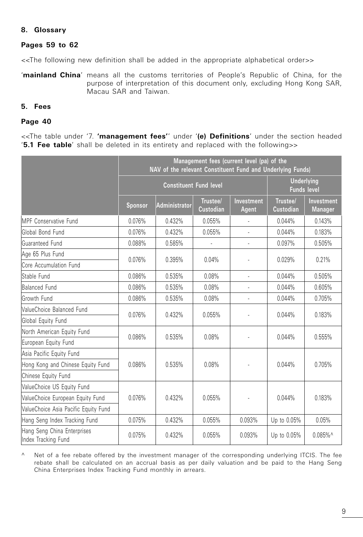## **8. Glossary**

## **Pages 59 to 62**

<<The following new definition shall be added in the appropriate alphabetical order>>

'**mainland China**' means all the customs territories of People's Republic of China, for the purpose of interpretation of this document only, excluding Hong Kong SAR, Macau SAR and Taiwan.

## **5. Fees**

#### **Page 40**

<<The table under '7. **'management fees'**' under '**(e) Definitions**' under the section headed '**5.1 Fee table**' shall be deleted in its entirety and replaced with the following>>

|                                                    | Management fees (current level (pa) of the<br>NAV of the relevant Constituent Fund and Underlying Funds) |                                                                          |                              |                     |                              |                              |  |
|----------------------------------------------------|----------------------------------------------------------------------------------------------------------|--------------------------------------------------------------------------|------------------------------|---------------------|------------------------------|------------------------------|--|
|                                                    |                                                                                                          | <b>Underlying</b><br><b>Constituent Fund level</b><br><b>Funds level</b> |                              |                     |                              |                              |  |
|                                                    | <b>Sponsor</b>                                                                                           | Administrator                                                            | Trustee/<br><b>Custodian</b> | Investment<br>Agent | Trustee/<br><b>Custodian</b> | Investment<br><b>Manager</b> |  |
| <b>IMPF Conservative Fund</b>                      | 0.076%                                                                                                   | 0.432%                                                                   | 0.055%                       |                     | 0.044%                       | 0.143%                       |  |
| Global Bond Fund                                   | 0.076%                                                                                                   | 0.432%                                                                   | 0.055%                       |                     | 0.044%                       | 0.183%                       |  |
| Guaranteed Fund                                    | 0.088%                                                                                                   | 0.585%                                                                   |                              | ÷,                  | 0.097%                       | 0.505%                       |  |
| Age 65 Plus Fund                                   | 0.076%                                                                                                   | 0.395%                                                                   | 0.04%                        |                     | 0.029%                       | 0.21%                        |  |
| Core Accumulation Fund                             |                                                                                                          |                                                                          |                              |                     |                              |                              |  |
| Stable Fund                                        | 0.086%                                                                                                   | 0.08%<br>0.535%<br>ä,                                                    |                              | 0.044%              | 0.505%                       |                              |  |
| Balanced Fund                                      | 0.086%                                                                                                   | 0.535%                                                                   | 0.08%                        | L                   | 0.044%                       | 0.605%                       |  |
| Growth Fund                                        | 0.086%                                                                                                   | 0.535%                                                                   | 0.08%                        |                     | 0.044%                       | 0.705%                       |  |
| ValueChoice Balanced Fund                          | 0.076%                                                                                                   | 0.432%                                                                   | 0.055%                       |                     | 0.044%                       | 0.183%                       |  |
| Global Equity Fund                                 |                                                                                                          |                                                                          |                              |                     |                              |                              |  |
| North American Equity Fund                         | 0.086%                                                                                                   | 0.535%                                                                   | 0.08%                        |                     |                              | 0.555%                       |  |
| European Equity Fund                               |                                                                                                          |                                                                          |                              |                     | 0.044%                       |                              |  |
| Asia Pacific Equity Fund                           |                                                                                                          |                                                                          |                              |                     |                              |                              |  |
| Hong Kong and Chinese Equity Fund                  | 0.086%                                                                                                   | 0.535%                                                                   | 0.08%                        |                     | 0.044%                       | 0.705%                       |  |
| Chinese Equity Fund                                |                                                                                                          |                                                                          |                              |                     |                              |                              |  |
| ValueChoice US Equity Fund                         |                                                                                                          |                                                                          |                              |                     |                              |                              |  |
| ValueChoice European Equity Fund                   | 0.076%                                                                                                   | 0.432%                                                                   | 0.055%                       |                     | 0.044%                       | 0.183%                       |  |
| ValueChoice Asia Pacific Equity Fund               |                                                                                                          |                                                                          |                              |                     |                              |                              |  |
| Hang Seng Index Tracking Fund                      | 0.075%                                                                                                   | 0.432%                                                                   | 0.055%                       | 0.093%              | Up to 0.05%                  | 0.05%                        |  |
| Hang Seng China Enterprises<br>Index Tracking Fund | 0.075%                                                                                                   | 0.432%                                                                   | 0.055%                       | 0.093%              | Up to 0.05%                  | $0.085\%$ <sup>^</sup>       |  |

^ Net of a fee rebate offered by the investment manager of the corresponding underlying ITCIS. The fee rebate shall be calculated on an accrual basis as per daily valuation and be paid to the Hang Seng China Enterprises Index Tracking Fund monthly in arrears.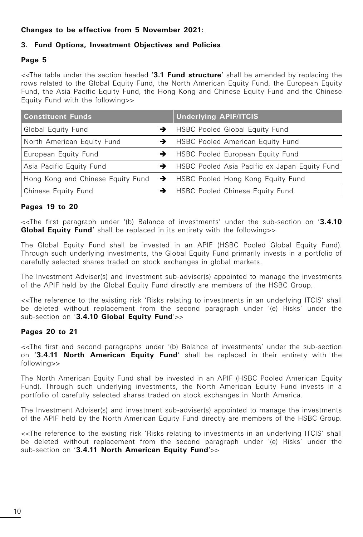# **Changes to be effective from 5 November 2021:**

## **3. Fund Options, Investment Objectives and Policies**

## **Page 5**

<<The table under the section headed '**3.1 Fund structure**' shall be amended by replacing the rows related to the Global Equity Fund, the North American Equity Fund, the European Equity Fund, the Asia Pacific Equity Fund, the Hong Kong and Chinese Equity Fund and the Chinese Equity Fund with the following>>

| <b>Constituent Funds</b>   | <b>Underlying APIF/ITCIS</b>                                          |
|----------------------------|-----------------------------------------------------------------------|
| Global Equity Fund         | → HSBC Pooled Global Equity Fund                                      |
| North American Equity Fund | → HSBC Pooled American Equity Fund                                    |
| European Equity Fund       | → HSBC Pooled European Equity Fund                                    |
| Asia Pacific Equity Fund   | → HSBC Pooled Asia Pacific ex Japan Equity Fund                       |
|                            | Hong Kong and Chinese Equity Fund → HSBC Pooled Hong Kong Equity Fund |
| Chinese Equity Fund        | <b>HSBC Pooled Chinese Equity Fund</b>                                |

## **Pages 19 to 20**

<<The first paragraph under '(b) Balance of investments' under the sub-section on '**3.4.10 Global Equity Fund**' shall be replaced in its entirety with the following>>

The Global Equity Fund shall be invested in an APIF (HSBC Pooled Global Equity Fund). Through such underlying investments, the Global Equity Fund primarily invests in a portfolio of carefully selected shares traded on stock exchanges in global markets.

The Investment Adviser(s) and investment sub-adviser(s) appointed to manage the investments of the APIF held by the Global Equity Fund directly are members of the HSBC Group.

<<The reference to the existing risk 'Risks relating to investments in an underlying ITCIS' shall be deleted without replacement from the second paragraph under '(e) Risks' under the sub-section on '**3.4.10 Global Equity Fund**'>>

## **Pages 20 to 21**

<<The first and second paragraphs under '(b) Balance of investments' under the sub-section on '**3.4.11 North American Equity Fund**' shall be replaced in their entirety with the following>>

The North American Equity Fund shall be invested in an APIF (HSBC Pooled American Equity Fund). Through such underlying investments, the North American Equity Fund invests in a portfolio of carefully selected shares traded on stock exchanges in North America.

The Investment Adviser(s) and investment sub-adviser(s) appointed to manage the investments of the APIF held by the North American Equity Fund directly are members of the HSBC Group.

<<The reference to the existing risk 'Risks relating to investments in an underlying ITCIS' shall be deleted without replacement from the second paragraph under '(e) Risks' under the sub-section on '**3.4.11 North American Equity Fund**'>>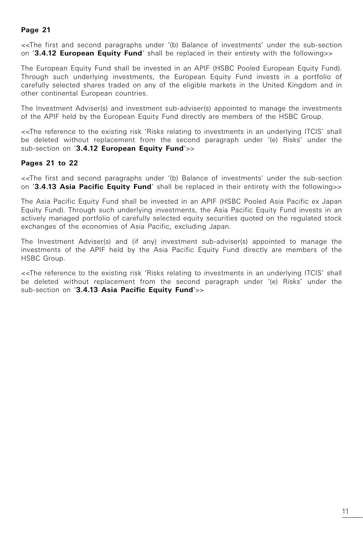<<The first and second paragraphs under '(b) Balance of investments' under the sub-section on '**3.4.12 European Equity Fund**' shall be replaced in their entirety with the following>>

The European Equity Fund shall be invested in an APIF (HSBC Pooled European Equity Fund). Through such underlying investments, the European Equity Fund invests in a portfolio of carefully selected shares traded on any of the eligible markets in the United Kingdom and in other continental European countries.

The Investment Adviser(s) and investment sub-adviser(s) appointed to manage the investments of the APIF held by the European Equity Fund directly are members of the HSBC Group.

<<The reference to the existing risk 'Risks relating to investments in an underlying ITCIS' shall be deleted without replacement from the second paragraph under '(e) Risks' under the sub-section on '**3.4.12 European Equity Fund**'>>

## **Pages 21 to 22**

<<The first and second paragraphs under '(b) Balance of investments' under the sub-section on '**3.4.13 Asia Pacific Equity Fund**' shall be replaced in their entirety with the following>>

The Asia Pacific Equity Fund shall be invested in an APIF (HSBC Pooled Asia Pacific ex Japan Equity Fund). Through such underlying investments, the Asia Pacific Equity Fund invests in an actively managed portfolio of carefully selected equity securities quoted on the regulated stock exchanges of the economies of Asia Pacific, excluding Japan.

The Investment Adviser(s) and (if any) investment sub-adviser(s) appointed to manage the investments of the APIF held by the Asia Pacific Equity Fund directly are members of the HSBC Group.

<<The reference to the existing risk 'Risks relating to investments in an underlying ITCIS' shall be deleted without replacement from the second paragraph under '(e) Risks' under the sub-section on '**3.4.13 Asia Pacific Equity Fund**'>>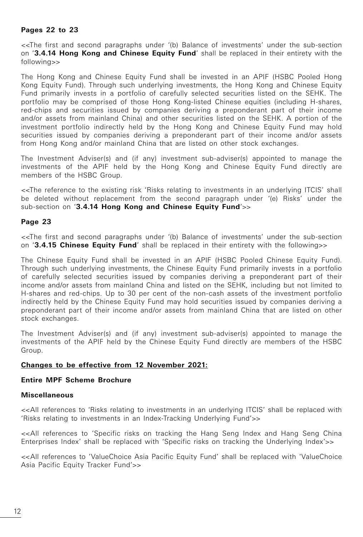## **Pages 22 to 23**

<<The first and second paragraphs under '(b) Balance of investments' under the sub-section on '**3.4.14 Hong Kong and Chinese Equity Fund**' shall be replaced in their entirety with the following>>

The Hong Kong and Chinese Equity Fund shall be invested in an APIF (HSBC Pooled Hong Kong Equity Fund). Through such underlying investments, the Hong Kong and Chinese Equity Fund primarily invests in a portfolio of carefully selected securities listed on the SEHK. The portfolio may be comprised of those Hong Kong-listed Chinese equities (including H-shares, red-chips and securities issued by companies deriving a preponderant part of their income and/or assets from mainland China) and other securities listed on the SEHK. A portion of the investment portfolio indirectly held by the Hong Kong and Chinese Equity Fund may hold securities issued by companies deriving a preponderant part of their income and/or assets from Hong Kong and/or mainland China that are listed on other stock exchanges.

The Investment Adviser(s) and (if any) investment sub-adviser(s) appointed to manage the investments of the APIF held by the Hong Kong and Chinese Equity Fund directly are members of the HSBC Group.

<<The reference to the existing risk 'Risks relating to investments in an underlying ITCIS' shall be deleted without replacement from the second paragraph under '(e) Risks' under the sub-section on '**3.4.14 Hong Kong and Chinese Equity Fund**'>>

## **Page 23**

<<The first and second paragraphs under '(b) Balance of investments' under the sub-section on '**3.4.15 Chinese Equity Fund**' shall be replaced in their entirety with the following>>

The Chinese Equity Fund shall be invested in an APIF (HSBC Pooled Chinese Equity Fund). Through such underlying investments, the Chinese Equity Fund primarily invests in a portfolio of carefully selected securities issued by companies deriving a preponderant part of their income and/or assets from mainland China and listed on the SEHK, including but not limited to H-shares and red-chips. Up to 30 per cent of the non-cash assets of the investment portfolio indirectly held by the Chinese Equity Fund may hold securities issued by companies deriving a preponderant part of their income and/or assets from mainland China that are listed on other stock exchanges.

The Investment Adviser(s) and (if any) investment sub-adviser(s) appointed to manage the investments of the APIF held by the Chinese Equity Fund directly are members of the HSBC Group.

## **Changes to be effective from 12 November 2021:**

## **Entire MPF Scheme Brochure**

#### **Miscellaneous**

<<All references to 'Risks relating to investments in an underlying ITCIS' shall be replaced with 'Risks relating to investments in an Index-Tracking Underlying Fund'>>

<<All references to 'Specific risks on tracking the Hang Seng Index and Hang Seng China Enterprises Index' shall be replaced with 'Specific risks on tracking the Underlying Index'>>

<<All references to 'ValueChoice Asia Pacific Equity Fund' shall be replaced with 'ValueChoice Asia Pacific Equity Tracker Fund'>>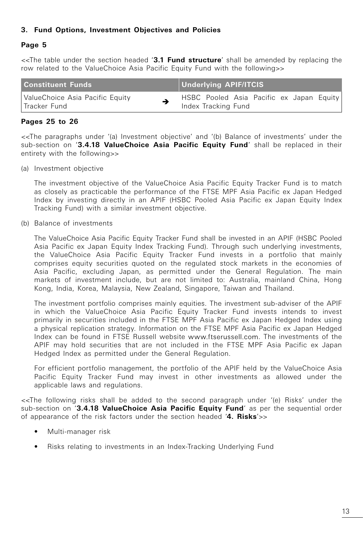## **3. Fund Options, Investment Objectives and Policies**

## **Page 5**

<<The table under the section headed '**3.1 Fund structure**' shall be amended by replacing the row related to the ValueChoice Asia Pacific Equity Fund with the following>>

| <b>Constituent Funds</b>        | <b>Underlying APIF/ITCIS</b>             |  |  |  |  |  |  |
|---------------------------------|------------------------------------------|--|--|--|--|--|--|
| ValueChoice Asia Pacific Equity | HSBC Pooled Asia Pacific ex Japan Equity |  |  |  |  |  |  |
| l Tracker Fund                  | Index Tracking Fund                      |  |  |  |  |  |  |

## **Pages 25 to 26**

<<The paragraphs under '(a) Investment objective' and '(b) Balance of investments' under the sub-section on '**3.4.18 ValueChoice Asia Pacific Equity Fund**' shall be replaced in their entirety with the following>>

(a) Investment objective

 The investment objective of the ValueChoice Asia Pacific Equity Tracker Fund is to match as closely as practicable the performance of the FTSE MPF Asia Pacific ex Japan Hedged Index by investing directly in an APIF (HSBC Pooled Asia Pacific ex Japan Equity Index Tracking Fund) with a similar investment objective.

(b) Balance of investments

 The ValueChoice Asia Pacific Equity Tracker Fund shall be invested in an APIF (HSBC Pooled Asia Pacific ex Japan Equity Index Tracking Fund). Through such underlying investments, the ValueChoice Asia Pacific Equity Tracker Fund invests in a portfolio that mainly comprises equity securities quoted on the regulated stock markets in the economies of Asia Pacific, excluding Japan, as permitted under the General Regulation. The main markets of investment include, but are not limited to: Australia, mainland China, Hong Kong, India, Korea, Malaysia, New Zealand, Singapore, Taiwan and Thailand.

 The investment portfolio comprises mainly equities. The investment sub-adviser of the APIF in which the ValueChoice Asia Pacific Equity Tracker Fund invests intends to invest primarily in securities included in the FTSE MPF Asia Pacific ex Japan Hedged Index using a physical replication strategy. Information on the FTSE MPF Asia Pacific ex Japan Hedged Index can be found in FTSE Russell website www.ftserussell.com. The investments of the APIF may hold securities that are not included in the FTSE MPF Asia Pacific ex Japan Hedged Index as permitted under the General Regulation.

 For efficient portfolio management, the portfolio of the APIF held by the ValueChoice Asia Pacific Equity Tracker Fund may invest in other investments as allowed under the applicable laws and regulations.

<<The following risks shall be added to the second paragraph under '(e) Risks' under the sub-section on '**3.4.18 ValueChoice Asia Pacific Equity Fund**' as per the sequential order of appearance of the risk factors under the section headed '**4. Risks**'>>

- Multi-manager risk
- Risks relating to investments in an Index-Tracking Underlying Fund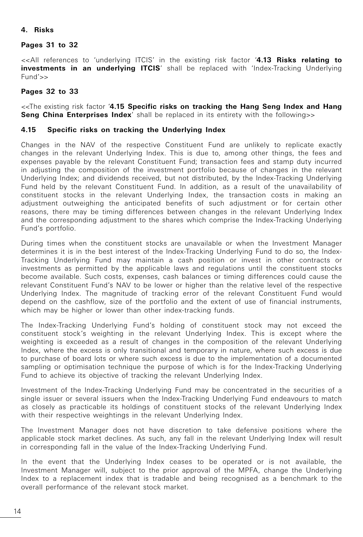## **4. Risks**

#### **Pages 31 to 32**

<<All references to 'underlying ITCIS' in the existing risk factor '**4.13 Risks relating to investments in an underlying ITCIS'** shall be replaced with 'Index-Tracking Underlying Fund'>>

#### **Pages 32 to 33**

<<The existing risk factor '**4.15 Specific risks on tracking the Hang Seng Index and Hang Seng China Enterprises Index'** shall be replaced in its entirety with the following>>

#### **4.15 Specific risks on tracking the Underlying Index**

Changes in the NAV of the respective Constituent Fund are unlikely to replicate exactly changes in the relevant Underlying Index. This is due to, among other things, the fees and expenses payable by the relevant Constituent Fund; transaction fees and stamp duty incurred in adjusting the composition of the investment portfolio because of changes in the relevant Underlying Index; and dividends received, but not distributed, by the Index-Tracking Underlying Fund held by the relevant Constituent Fund. In addition, as a result of the unavailability of constituent stocks in the relevant Underlying Index, the transaction costs in making an adjustment outweighing the anticipated benefits of such adjustment or for certain other reasons, there may be timing differences between changes in the relevant Underlying Index and the corresponding adjustment to the shares which comprise the Index-Tracking Underlying Fund's portfolio.

During times when the constituent stocks are unavailable or when the Investment Manager determines it is in the best interest of the Index-Tracking Underlying Fund to do so, the Index-Tracking Underlying Fund may maintain a cash position or invest in other contracts or investments as permitted by the applicable laws and regulations until the constituent stocks become available. Such costs, expenses, cash balances or timing differences could cause the relevant Constituent Fund's NAV to be lower or higher than the relative level of the respective Underlying Index. The magnitude of tracking error of the relevant Constituent Fund would depend on the cashflow, size of the portfolio and the extent of use of financial instruments, which may be higher or lower than other index-tracking funds.

The Index-Tracking Underlying Fund's holding of constituent stock may not exceed the constituent stock's weighting in the relevant Underlying Index. This is except where the weighting is exceeded as a result of changes in the composition of the relevant Underlying Index, where the excess is only transitional and temporary in nature, where such excess is due to purchase of board lots or where such excess is due to the implementation of a documented sampling or optimisation technique the purpose of which is for the Index-Tracking Underlying Fund to achieve its objective of tracking the relevant Underlying Index.

Investment of the Index-Tracking Underlying Fund may be concentrated in the securities of a single issuer or several issuers when the Index-Tracking Underlying Fund endeavours to match as closely as practicable its holdings of constituent stocks of the relevant Underlying Index with their respective weightings in the relevant Underlying Index.

The Investment Manager does not have discretion to take defensive positions where the applicable stock market declines. As such, any fall in the relevant Underlying Index will result in corresponding fall in the value of the Index-Tracking Underlying Fund.

In the event that the Underlying Index ceases to be operated or is not available, the Investment Manager will, subject to the prior approval of the MPFA, change the Underlying Index to a replacement index that is tradable and being recognised as a benchmark to the overall performance of the relevant stock market.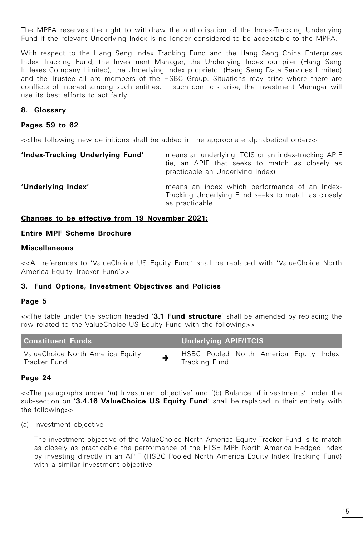The MPFA reserves the right to withdraw the authorisation of the Index-Tracking Underlying Fund if the relevant Underlying Index is no longer considered to be acceptable to the MPFA.

With respect to the Hang Seng Index Tracking Fund and the Hang Seng China Enterprises Index Tracking Fund, the Investment Manager, the Underlying Index compiler (Hang Seng Indexes Company Limited), the Underlying Index proprietor (Hang Seng Data Services Limited) and the Trustee all are members of the HSBC Group. Situations may arise where there are conflicts of interest among such entities. If such conflicts arise, the Investment Manager will use its best efforts to act fairly.

## **8. Glossary**

#### **Pages 59 to 62**

<<The following new definitions shall be added in the appropriate alphabetical order>>

| 'Index-Tracking Underlying Fund' | means an underlying ITCIS or an index-tracking APIF<br>(ie, an APIF that seeks to match as closely as<br>practicable an Underlying Index). |
|----------------------------------|--------------------------------------------------------------------------------------------------------------------------------------------|
| 'Underlying Index'               | means an index which performance of an Index-<br>Tracking Underlying Fund seeks to match as closely<br>as practicable.                     |

#### **Changes to be effective from 19 November 2021:**

## **Entire MPF Scheme Brochure**

## **Miscellaneous**

<<All references to 'ValueChoice US Equity Fund' shall be replaced with 'ValueChoice North America Equity Tracker Fund'>>

#### **3. Fund Options, Investment Objectives and Policies**

#### **Page 5**

<<The table under the section headed '**3.1 Fund structure**' shall be amended by replacing the row related to the ValueChoice US Equity Fund with the following>>

| <b>Constituent Funds</b>                           |  | Underlying APIF/ITCIS |                                        |  |
|----------------------------------------------------|--|-----------------------|----------------------------------------|--|
| ValueChoice North America Equity<br>l Tracker Fund |  | Tracking Fund         | HSBC Pooled North America Equity Index |  |

#### **Page 24**

<<The paragraphs under '(a) Investment objective' and '(b) Balance of investments' under the sub-section on '**3.4.16 ValueChoice US Equity Fund**' shall be replaced in their entirety with the following>>

(a) Investment objective

 The investment objective of the ValueChoice North America Equity Tracker Fund is to match as closely as practicable the performance of the FTSE MPF North America Hedged Index by investing directly in an APIF (HSBC Pooled North America Equity Index Tracking Fund) with a similar investment objective.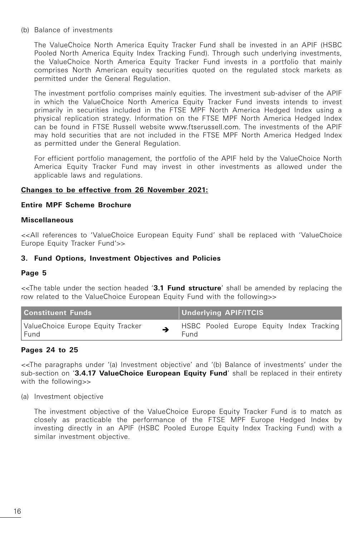(b) Balance of investments

 The ValueChoice North America Equity Tracker Fund shall be invested in an APIF (HSBC Pooled North America Equity Index Tracking Fund). Through such underlying investments, the ValueChoice North America Equity Tracker Fund invests in a portfolio that mainly comprises North American equity securities quoted on the regulated stock markets as permitted under the General Regulation.

 The investment portfolio comprises mainly equities. The investment sub-adviser of the APIF in which the ValueChoice North America Equity Tracker Fund invests intends to invest primarily in securities included in the FTSE MPF North America Hedged Index using a physical replication strategy. Information on the FTSE MPF North America Hedged Index can be found in FTSE Russell website www.ftserussell.com. The investments of the APIF may hold securities that are not included in the FTSE MPF North America Hedged Index as permitted under the General Regulation.

 For efficient portfolio management, the portfolio of the APIF held by the ValueChoice North America Equity Tracker Fund may invest in other investments as allowed under the applicable laws and regulations.

## **Changes to be effective from 26 November 2021:**

#### **Entire MPF Scheme Brochure**

#### **Miscellaneous**

<<All references to 'ValueChoice European Equity Fund' shall be replaced with 'ValueChoice Europe Equity Tracker Fund'>>

## **3. Fund Options, Investment Objectives and Policies**

#### **Page 5**

<<The table under the section headed '**3.1 Fund structure**' shall be amended by replacing the row related to the ValueChoice European Equity Fund with the following>>

| Constituent Funds                           |  |      | <b>Underlying APIF/ITCIS</b> |  |  |  |                                          |  |  |
|---------------------------------------------|--|------|------------------------------|--|--|--|------------------------------------------|--|--|
| ValueChoice Europe Equity Tracker<br>l Fund |  | Fund |                              |  |  |  | HSBC Pooled Europe Equity Index Tracking |  |  |

## **Pages 24 to 25**

<<The paragraphs under '(a) Investment objective' and '(b) Balance of investments' under the sub-section on '**3.4.17 ValueChoice European Equity Fund**' shall be replaced in their entirety with the following>>

(a) Investment objective

 The investment objective of the ValueChoice Europe Equity Tracker Fund is to match as closely as practicable the performance of the FTSE MPF Europe Hedged Index by investing directly in an APIF (HSBC Pooled Europe Equity Index Tracking Fund) with a similar investment objective.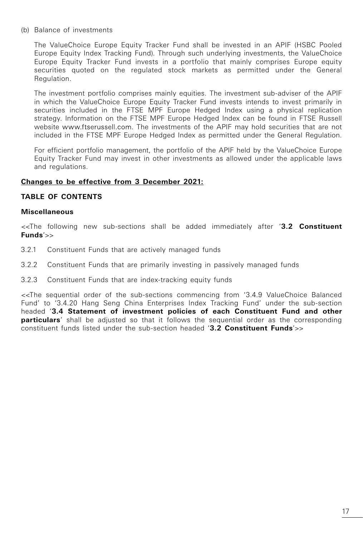(b) Balance of investments

 The ValueChoice Europe Equity Tracker Fund shall be invested in an APIF (HSBC Pooled Europe Equity Index Tracking Fund). Through such underlying investments, the ValueChoice Europe Equity Tracker Fund invests in a portfolio that mainly comprises Europe equity securities quoted on the regulated stock markets as permitted under the General Regulation.

 The investment portfolio comprises mainly equities. The investment sub-adviser of the APIF in which the ValueChoice Europe Equity Tracker Fund invests intends to invest primarily in securities included in the FTSE MPF Europe Hedged Index using a physical replication strategy. Information on the FTSE MPF Europe Hedged Index can be found in FTSE Russell website www.ftserussell.com. The investments of the APIF may hold securities that are not included in the FTSE MPF Europe Hedged Index as permitted under the General Regulation.

 For efficient portfolio management, the portfolio of the APIF held by the ValueChoice Europe Equity Tracker Fund may invest in other investments as allowed under the applicable laws and regulations.

## **Changes to be effective from 3 December 2021:**

## **TABLE OF CONTENTS**

#### **Miscellaneous**

<<The following new sub-sections shall be added immediately after '**3.2 Constituent Funds**'>>

- 3.2.1 Constituent Funds that are actively managed funds
- 3.2.2 Constituent Funds that are primarily investing in passively managed funds
- 3.2.3 Constituent Funds that are index-tracking equity funds

<<The sequential order of the sub-sections commencing from '3.4.9 ValueChoice Balanced Fund' to '3.4.20 Hang Seng China Enterprises Index Tracking Fund' under the sub-section headed '**3.4 Statement of investment policies of each Constituent Fund and other particulars**' shall be adjusted so that it follows the sequential order as the corresponding constituent funds listed under the sub-section headed '**3.2 Constituent Funds**'>>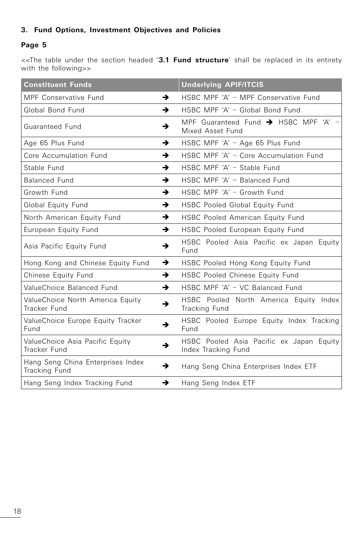# **3. Fund Options, Investment Objectives and Policies**

# **Page 5**

<<The table under the section headed '**3.1 Fund structure**' shall be replaced in its entirety with the following>>

| <b>Constituent Funds</b>                           |               | <b>Underlying APIF/ITCIS</b>                                         |  |  |
|----------------------------------------------------|---------------|----------------------------------------------------------------------|--|--|
| MPF Conservative Fund                              | →             | HSBC MPF 'A' - MPF Conservative Fund                                 |  |  |
| Global Bond Fund                                   | →             | HSBC MPF 'A' - Global Bond Fund                                      |  |  |
| Guaranteed Fund                                    | →             | MPF Guaranteed Fund $\rightarrow$ HSBC MPF 'A' -<br>Mixed Asset Fund |  |  |
| Age 65 Plus Fund                                   | →             | HSBC MPF 'A' - Age 65 Plus Fund                                      |  |  |
| Core Accumulation Fund                             | →             | HSBC MPF 'A' - Core Accumulation Fund                                |  |  |
| Stable Fund                                        | $\rightarrow$ | HSBC MPF 'A' - Stable Fund                                           |  |  |
| <b>Balanced Fund</b>                               | $\rightarrow$ | HSBC MPF 'A' - Balanced Fund                                         |  |  |
| Growth Fund                                        | →             | HSBC MPF 'A' - Growth Fund                                           |  |  |
| Global Equity Fund                                 | →             | HSBC Pooled Global Equity Fund                                       |  |  |
| North American Equity Fund                         | →             | HSBC Pooled American Equity Fund                                     |  |  |
| European Equity Fund                               | →             | HSBC Pooled European Equity Fund                                     |  |  |
| Asia Pacific Equity Fund                           | →             | HSBC Pooled Asia Pacific ex Japan Equity<br>Fund                     |  |  |
| Hong Kong and Chinese Equity Fund                  | →             | HSBC Pooled Hong Kong Equity Fund                                    |  |  |
| Chinese Equity Fund                                | →             | HSBC Pooled Chinese Equity Fund                                      |  |  |
| ValueChoice Balanced Fund                          | →             | HSBC MPF 'A' - VC Balanced Fund                                      |  |  |
| ValueChoice North America Equity<br>Tracker Fund   | →             | HSBC Pooled North America Equity Index<br>Tracking Fund              |  |  |
| ValueChoice Europe Equity Tracker<br>Fund          | →             | HSBC Pooled Europe Equity Index Tracking<br>Fund                     |  |  |
| ValueChoice Asia Pacific Equity<br>Tracker Fund    | →             | HSBC Pooled Asia Pacific ex Japan Equity<br>Index Tracking Fund      |  |  |
| Hang Seng China Enterprises Index<br>Tracking Fund | →             | Hang Seng China Enterprises Index ETF                                |  |  |
| Hang Seng Index Tracking Fund                      | →             | Hang Seng Index ETF                                                  |  |  |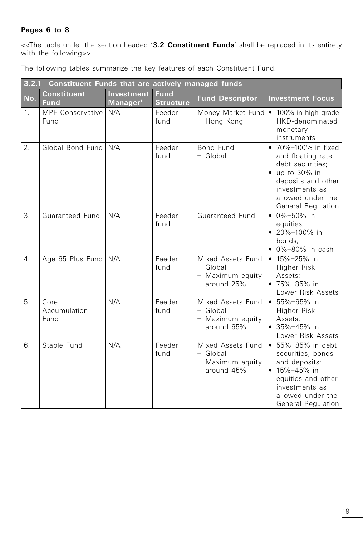# **Pages 6 to 8**

<<The table under the section headed '**3.2 Constituent Funds**' shall be replaced in its entirety with the following>>

The following tables summarize the key features of each Constituent Fund.

|                  | 3.2.1<br>Constituent Funds that are actively managed funds |                                    |                                 |                                                                 |                                                                                                                                                                           |
|------------------|------------------------------------------------------------|------------------------------------|---------------------------------|-----------------------------------------------------------------|---------------------------------------------------------------------------------------------------------------------------------------------------------------------------|
| No.              | <b>Constituent</b><br><b>Fund</b>                          | Investment<br>Manager <sup>1</sup> | <b>Fund</b><br><b>Structure</b> | <b>Fund Descriptor</b>                                          | <b>Investment Focus</b>                                                                                                                                                   |
| 1.               | MPF Conservative<br>Fund                                   | N/A                                | Feeder<br>fund                  | - Hong Kong                                                     | Money Market Fund • 100% in high grade<br>HKD-denominated<br>monetary<br>instruments                                                                                      |
| 2.               | Global Bond Fund                                           | N/A                                | Feeder<br>fund                  | Bond Fund<br>- Global                                           | • 70%-100% in fixed<br>and floating rate<br>debt securities:<br>$\bullet$ up to 30% in<br>deposits and other<br>investments as<br>allowed under the<br>General Regulation |
| 3.               | Guaranteed Fund                                            | N/A                                | Feeder<br>fund                  | Guaranteed Fund                                                 | $\bullet$ 0%-50% in<br>equities;<br>$\bullet$ 20%-100% in<br>bonds:<br>$\bullet$ 0%-80% in cash                                                                           |
| $\overline{4}$ . | Age 65 Plus Fund N/A                                       |                                    | Feeder<br>fund                  | Mixed Assets Fund<br>- Global<br>- Maximum equity<br>around 25% | $\bullet$ 15%-25% in<br>Higher Risk<br>Assets;<br>$• 75% - 85%$ in<br>Lower Risk Assets                                                                                   |
| 5.               | Core<br>Accumulation<br>Fund                               | N/A                                | Feeder<br>fund                  | Mixed Assets Fund<br>- Global<br>- Maximum equity<br>around 65% | $• 55\% - 65\%$ in<br>Higher Risk<br>Assets;<br>$\bullet$ 35%-45% in<br>Lower Risk Assets                                                                                 |
| 6.               | Stable Fund                                                | N/A                                | Feeder<br>fund                  | Mixed Assets Fund<br>- Global<br>- Maximum equity<br>around 45% | • 55%-85% in debt<br>securities, bonds<br>and deposits;<br>$• 15% - 45%$ in<br>equities and other<br>investments as<br>allowed under the<br>General Regulation            |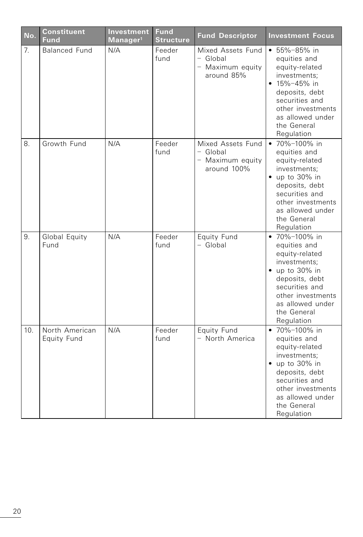| No.            | <b>Constituent</b><br><b>Fund</b> | Investment<br>Manager <sup>1</sup> | <b>Fund</b><br><b>Structure</b> | <b>Fund Descriptor</b>                                           | <b>Investment Focus</b>                                                                                                                                                                                   |
|----------------|-----------------------------------|------------------------------------|---------------------------------|------------------------------------------------------------------|-----------------------------------------------------------------------------------------------------------------------------------------------------------------------------------------------------------|
| 7 <sup>1</sup> | <b>Balanced Fund</b>              | N/A                                | Feeder<br>fund                  | Mixed Assets Fund<br>- Global<br>- Maximum equity<br>around 85%  | • 55%-85% in<br>equities and<br>equity-related<br>investments;<br>• $15\% - 45\%$ in<br>deposits, debt<br>securities and<br>other investments<br>as allowed under<br>the General<br>Regulation            |
| 8.             | Growth Fund                       | N/A                                | Feeder<br>fund                  | Mixed Assets Fund<br>- Global<br>- Maximum equity<br>around 100% | • 70%-100% in<br>equities and<br>equity-related<br>investments;<br>$\bullet$ up to 30% in<br>deposits, debt<br>securities and<br>other investments<br>as allowed under<br>the General<br>Regulation       |
| 9.             | Global Equity<br>Fund             | N/A                                | Feeder<br>fund                  | Equity Fund<br>- Global                                          | • 70%-100% in<br>equities and<br>equity-related<br>investments;<br>$\bullet$ up to 30% in<br>deposits, debt<br>securities and<br>other investments<br>as allowed under<br>the General<br>Regulation       |
| 10.            | North American<br>Equity Fund     | N/A                                | Feeder<br>fund                  | Equity Fund<br>- North America                                   | • $70\% - 100\%$ in<br>equities and<br>equity-related<br>investments:<br>$\bullet$ up to 30% in<br>deposits, debt<br>securities and<br>other investments<br>as allowed under<br>the General<br>Regulation |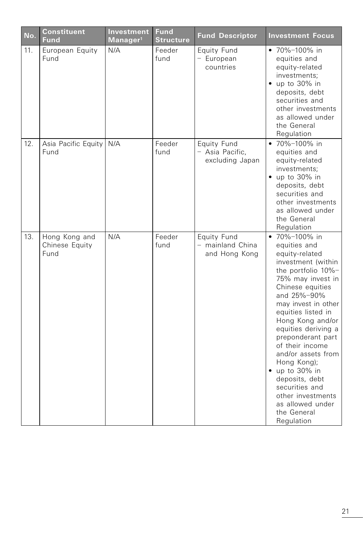| No. | <b>Constituent</b><br><b>Fund</b>       | Investment<br>Manager <sup>1</sup> | <b>Fund</b><br><b>Structure</b> | <b>Fund Descriptor</b>                            | <b>Investment Focus</b>                                                                                                                                                                                                                                                                                                                                                                                                                                      |
|-----|-----------------------------------------|------------------------------------|---------------------------------|---------------------------------------------------|--------------------------------------------------------------------------------------------------------------------------------------------------------------------------------------------------------------------------------------------------------------------------------------------------------------------------------------------------------------------------------------------------------------------------------------------------------------|
| 11. | European Equity<br>Fund                 | N/A                                | Feeder<br>fund                  | Equity Fund<br>- European<br>countries            | • 70%-100% in<br>equities and<br>equity-related<br>investments;<br>$\bullet$ up to 30% in<br>deposits, debt<br>securities and<br>other investments<br>as allowed under<br>the General<br>Regulation                                                                                                                                                                                                                                                          |
| 12. | Asia Pacific Equity<br>Fund             | N/A                                | Feeder<br>fund                  | Equity Fund<br>- Asia Pacific,<br>excluding Japan | • 70%-100% in<br>equities and<br>equity-related<br>investments;<br>$\bullet$ up to 30% in<br>deposits, debt<br>securities and<br>other investments<br>as allowed under<br>the General<br>Regulation                                                                                                                                                                                                                                                          |
| 13. | Hong Kong and<br>Chinese Equity<br>Fund | N/A                                | Feeder<br>fund                  | Equity Fund<br>- mainland China<br>and Hong Kong  | • 70%-100% in<br>equities and<br>equity-related<br>investment (within<br>the portfolio 10%-<br>75% may invest in<br>Chinese equities<br>and 25%-90%<br>may invest in other<br>equities listed in<br>Hong Kong and/or<br>equities deriving a<br>preponderant part<br>of their income<br>and/or assets from<br>Hong Kong);<br>$\bullet$ up to 30% in<br>deposits, debt<br>securities and<br>other investments<br>as allowed under<br>the General<br>Regulation |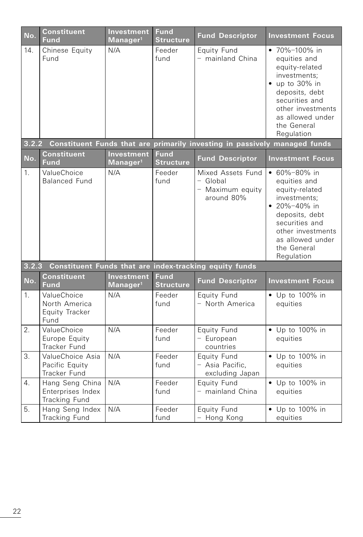| $\overline{\text{No}}$ . | <b>Constituent</b><br><b>Fund</b>                      | Investment<br>Manager <sup>1</sup>        | <b>Fund</b><br><b>Structure</b> | <b>Fund Descriptor</b>                                                    | <b>Investment Focus</b>                                                                                                                                                                                |
|--------------------------|--------------------------------------------------------|-------------------------------------------|---------------------------------|---------------------------------------------------------------------------|--------------------------------------------------------------------------------------------------------------------------------------------------------------------------------------------------------|
| 14.                      | Chinese Equity<br>Fund                                 | N/A                                       | Feeder<br>fund                  | Equity Fund<br>- mainland China                                           | • 70%-100% in<br>equities and<br>equity-related<br>investments;<br>$\bullet$ up to 30% in<br>deposits, debt<br>securities and<br>other investments<br>as allowed under<br>the General<br>Regulation    |
| 3.2.2                    |                                                        |                                           |                                 | Constituent Funds that are primarily investing in passively managed funds |                                                                                                                                                                                                        |
| No.                      | <b>Constituent</b><br><b>Fund</b>                      | <b>Investment</b><br>Manager <sup>1</sup> | <b>Fund</b><br><b>Structure</b> | <b>Fund Descriptor</b>                                                    | <b>Investment Focus</b>                                                                                                                                                                                |
| 1 <sub>1</sub>           | ValueChoice<br><b>Balanced Fund</b>                    | N/A                                       | Feeder<br>fund                  | Mixed Assets Fund<br>- Global<br>- Maximum equity<br>around 80%           | $\cdot$ 60%-80% in<br>equities and<br>equity-related<br>investments:<br>$\bullet$ 20%-40% in<br>deposits, debt<br>securities and<br>other investments<br>as allowed under<br>the General<br>Regulation |
| 3.2.3                    |                                                        |                                           |                                 | Constituent Funds that are index-tracking equity funds                    |                                                                                                                                                                                                        |
| No.                      | <b>Constituent</b><br><b>Fund</b>                      | Investment<br>Manager <sup>1</sup>        | <b>Fund</b><br><b>Structure</b> | <b>Fund Descriptor</b>                                                    | <b>Investment Focus</b>                                                                                                                                                                                |
| 1.                       | ValueChoice<br>North America<br>Equity Tracker<br>Fund | N/A                                       | Feeder<br>fund                  | Equity Fund<br>- North America                                            | $\bullet$ Up to 100% in<br>equities                                                                                                                                                                    |
| 2.                       | ValueChoice<br>Europe Equity<br>Tracker Fund           | N/A                                       | Feeder<br>fund                  | Equity Fund<br>- European<br>countries                                    | • Up to 100% in<br>equities                                                                                                                                                                            |
| 3.                       | ValueChoice Asia<br>Pacific Equity<br>Tracker Fund     | N/A                                       | Feeder<br>fund                  | Equity Fund<br>- Asia Pacific,<br>excluding Japan                         | • Up to 100% in<br>equities                                                                                                                                                                            |
| 4.                       | Hang Seng China<br>Enterprises Index<br>Tracking Fund  | N/A                                       | Feeder<br>fund                  | Equity Fund<br>- mainland China                                           | • Up to 100% in<br>equities                                                                                                                                                                            |
| 5.                       | Hang Seng Index<br>Tracking Fund                       | N/A                                       | Feeder<br>fund                  | Equity Fund<br>- Hong Kong                                                | • Up to 100% in<br>equities                                                                                                                                                                            |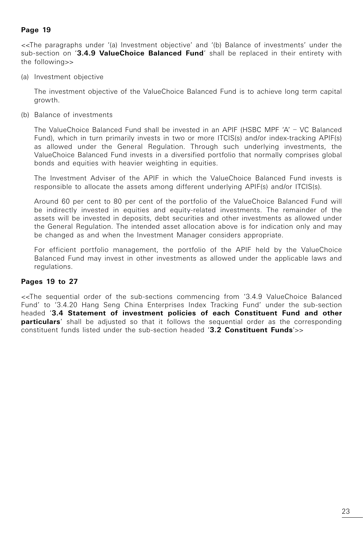<<The paragraphs under '(a) Investment objective' and '(b) Balance of investments' under the sub-section on '**3.4.9 ValueChoice Balanced Fund**' shall be replaced in their entirety with the following>>

(a) Investment objective

 The investment objective of the ValueChoice Balanced Fund is to achieve long term capital growth.

(b) Balance of investments

 The ValueChoice Balanced Fund shall be invested in an APIF (HSBC MPF 'A' – VC Balanced Fund), which in turn primarily invests in two or more ITCIS(s) and/or index-tracking APIF(s) as allowed under the General Regulation. Through such underlying investments, the ValueChoice Balanced Fund invests in a diversified portfolio that normally comprises global bonds and equities with heavier weighting in equities.

 The Investment Adviser of the APIF in which the ValueChoice Balanced Fund invests is responsible to allocate the assets among different underlying APIF(s) and/or ITCIS(s).

 Around 60 per cent to 80 per cent of the portfolio of the ValueChoice Balanced Fund will be indirectly invested in equities and equity-related investments. The remainder of the assets will be invested in deposits, debt securities and other investments as allowed under the General Regulation. The intended asset allocation above is for indication only and may be changed as and when the Investment Manager considers appropriate.

 For efficient portfolio management, the portfolio of the APIF held by the ValueChoice Balanced Fund may invest in other investments as allowed under the applicable laws and regulations.

## **Pages 19 to 27**

<<The sequential order of the sub-sections commencing from '3.4.9 ValueChoice Balanced Fund' to '3.4.20 Hang Seng China Enterprises Index Tracking Fund' under the sub-section headed '**3.4 Statement of investment policies of each Constituent Fund and other particulars'** shall be adjusted so that it follows the sequential order as the corresponding constituent funds listed under the sub-section headed '**3.2 Constituent Funds**'>>